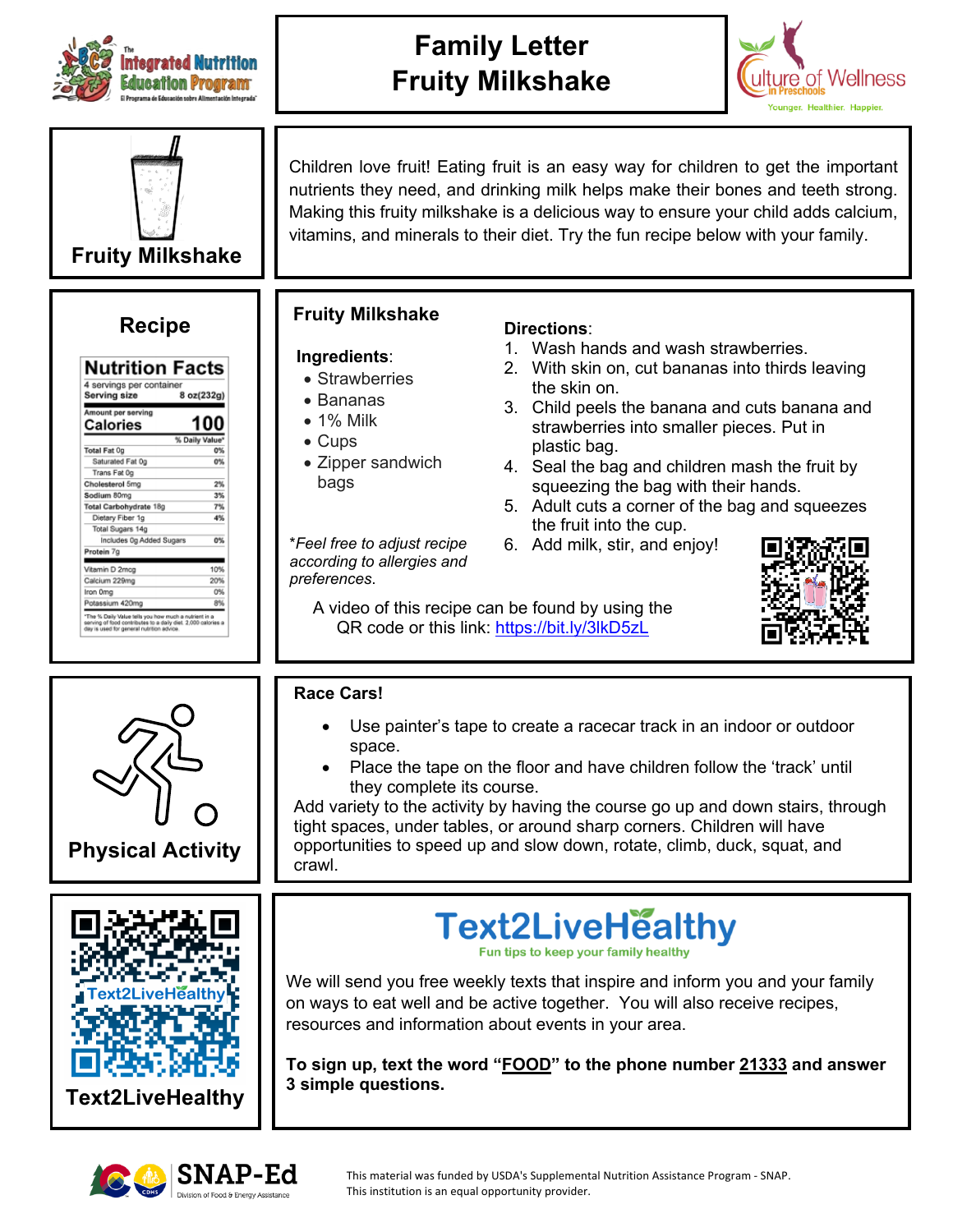

## **Family Letter Fruity Milkshake**





| 4 servings per container<br>Serving size | 8 oz(232g)     |
|------------------------------------------|----------------|
| Amount per serving<br>Calories           | 100            |
|                                          | % Daily Value* |
| <b>Total Fat 0g</b>                      | 0%             |
| Saturated Fat Og                         | O%             |
| Trans Fat 0q                             |                |
| Cholesterol 5mg                          | 2%             |
| Sodium 80mg                              | 3%             |
| Total Carbohydrate 18g                   | 7%             |
| Dietary Fiber 1g                         | 4%             |
| Total Sugars 14g                         |                |
| Includes 0g Added Sugars                 | 0%             |
| Protein 7g                               |                |
| Vitamin D 2mog                           | 10%            |
| Calcium 229mg                            | 20%            |
| Iron Oma                                 | 0%             |
| Potassium 420mg                          | 8%             |

Children love fruit! Eating fruit is an easy way for children to get the important nutrients they need, and drinking milk helps make their bones and teeth strong. Making this fruity milkshake is a delicious way to ensure your child adds calcium, vitamins, and minerals to their diet. Try the fun recipe below with your family.

# **Recipe Fruity Milkshake Fruity Milkshake**

### **Ingredients**:

- Strawberries
- Bananas
- 1% Milk
- Cups
- Zipper sandwich bags

\**Feel free to adjust recipe according to allergies and preferences*.

### **Directions**:

- 1. Wash hands and wash strawberries.
- 2. With skin on, cut bananas into thirds leaving the skin on.
- 3. Child peels the banana and cuts banana and strawberries into smaller pieces. Put in plastic bag.
- 4. Seal the bag and children mash the fruit by squeezing the bag with their hands.
- 5. Adult cuts a corner of the bag and squeezes the fruit into the cup.
- 6. Add milk, stir, and enjoy!

A video of this recipe can be found by using the QR code or this link: https://bit.ly/3lkD5zL





**Race Cars!** 

- Use painter's tape to create a racecar track in an indoor or outdoor space.
- Place the tape on the floor and have children follow the 'track' until they complete its course.

Add variety to the activity by having the course go up and down stairs, through tight spaces, under tables, or around sharp corners. Children will have opportunities to speed up and slow down, rotate, climb, duck, squat, and crawl.





This material was funded by USDA's Supplemental Nutrition Assistance Program - SNAP. This institution is an equal opportunity provider.



We will send you free weekly texts that inspire and inform you and your family on ways to eat well and be active together. You will also receive recipes, resources and information about events in your area.

**To sign up, text the word "FOOD" to the phone number 21333 and answer 3 simple questions.**